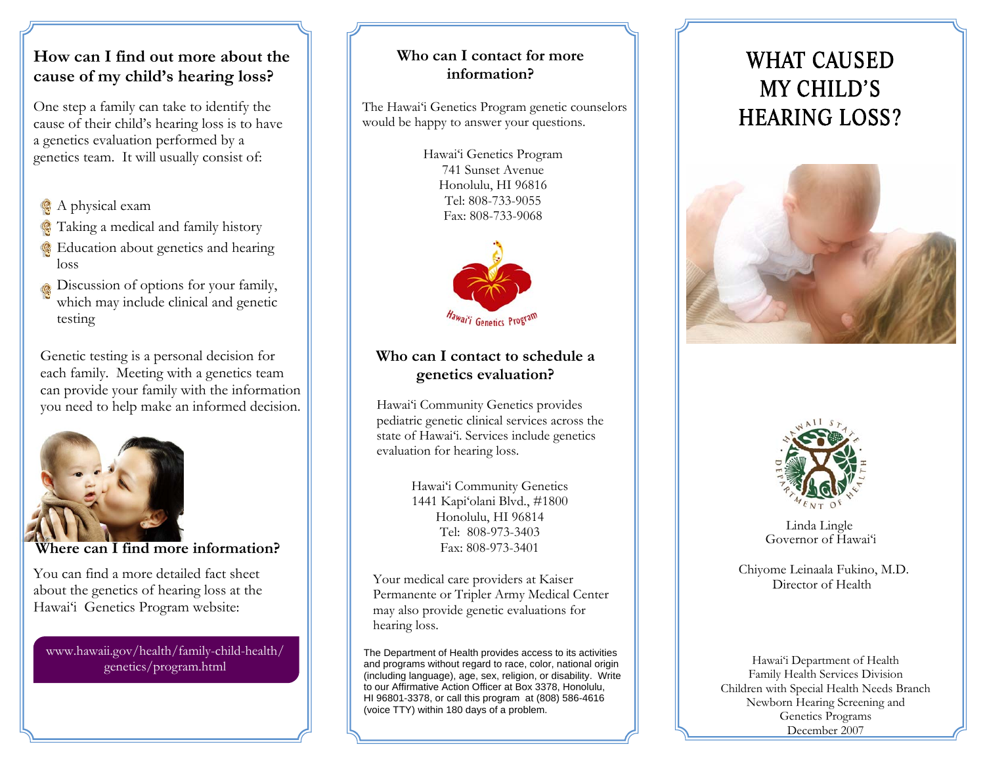## **How can I find out more about the cause of my child's hearing loss?**

One step a family can take to identify the cause of their child's hearing loss is to have a genetics evaluation performed by a genetics team. It will usually consist of:

- A physical exam
- Taking a medical and family history
- **Education about genetics and hearing** loss
- Discussion of options for your family, which may include clinical and genetic testing

Genetic testing is a personal decision for each family. Meeting with a genetics team can provide your family with the information you need to help make an informed decision.



#### **Where can I find more information?**

You can find a more detailed fact sheet about the genetics of hearing loss at the Hawai'i Genetics Program website:

www.hawaii.gov/health/family-child-health/ genetics/program.html

### **Who can I contact for more information?**

The Hawai'i Genetics Program genetic counselors would be happy to answer your questions.

> Hawai'i Genetics Program 741 Sunset AvenueHonolulu, HI 96816 Tel: 808-733-9055Fax: 808-733-9068



### **Who can I contact to schedule a genetics evaluation?**

Hawai'i Community Genetics provides pediatric genetic clinical services across the state of Hawai'i. Services include genetics evaluation for hearing loss.

> Hawai'i Community Genetics 1441 Kapi'olani Blvd., #1800 Honolulu, HI 96814 Tel: 808-973-3403Fax: 808-973-3401

Your medical care providers at Kaiser Permanente or Tripler Army Medical Center may also provide genetic evaluations for hearing loss.

The Department of Health provides access to its activities and programs without regard to race, color, national origin (including language), age, sex, religion, or disability. Write to our Affirmative Action Officer at Box 3378, Honolulu, HI 96801-3378, or call this program at (808) 586-4616 (voice TTY) within 180 days of a problem.

# WHAT CAUSED MY CHILD'S HEARING LOSS?





Linda Lingle Governor of Hawai'i

Chiyome Leinaala Fukino, M.D. Director of Health

Hawai'i Department of Health Family Health Services Division Children with Special Health Needs Branch Newborn Hearing Screening and Genetics Programs December 2007